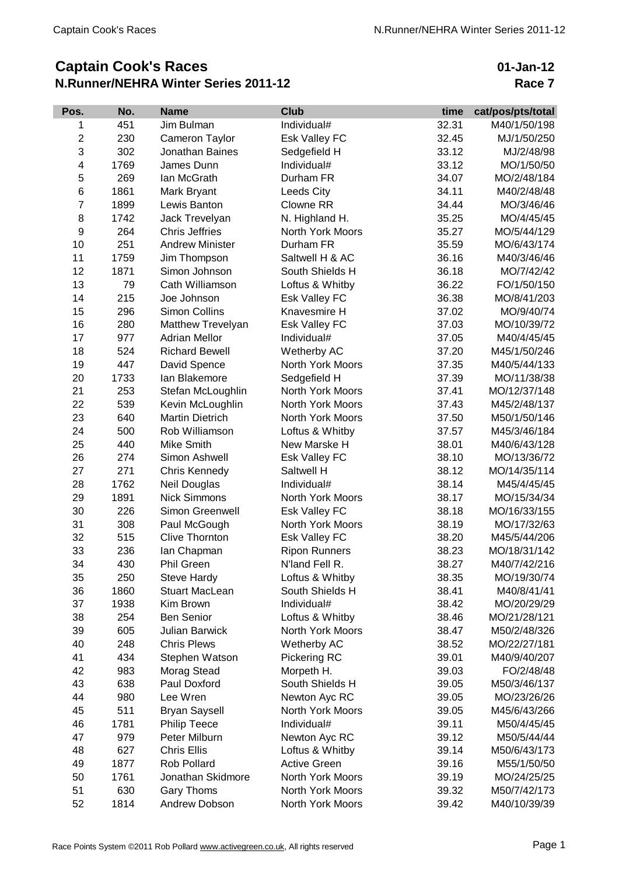## **Captain Cook's Races N.Runner/NEHRA Winter Series 2011-12**

**01-Jan-12 Race 7**

| Pos.           | No.  | <b>Name</b>                      | <b>Club</b>             | time  | cat/pos/pts/total |
|----------------|------|----------------------------------|-------------------------|-------|-------------------|
| 1              | 451  | Jim Bulman                       | Individual#             | 32.31 | M40/1/50/198      |
| $\overline{2}$ | 230  | Cameron Taylor                   | Esk Valley FC           | 32.45 | MJ/1/50/250       |
| 3              | 302  | Jonathan Baines                  | Sedgefield H            | 33.12 | MJ/2/48/98        |
| 4              | 1769 | James Dunn                       | Individual#             | 33.12 | MO/1/50/50        |
| 5              | 269  | lan McGrath                      | Durham FR               | 34.07 | MO/2/48/184       |
| 6              | 1861 | Mark Bryant                      | Leeds City              | 34.11 | M40/2/48/48       |
| 7              | 1899 | Lewis Banton                     | Clowne RR               | 34.44 | MO/3/46/46        |
| 8              | 1742 | Jack Trevelyan                   | N. Highland H.          | 35.25 | MO/4/45/45        |
| 9              | 264  | <b>Chris Jeffries</b>            | North York Moors        | 35.27 | MO/5/44/129       |
| 10             | 251  | <b>Andrew Minister</b>           | Durham FR               | 35.59 | MO/6/43/174       |
| 11             | 1759 | Jim Thompson                     | Saltwell H & AC         | 36.16 | M40/3/46/46       |
| 12             | 1871 | Simon Johnson                    | South Shields H         | 36.18 | MO/7/42/42        |
| 13             | 79   | Cath Williamson                  | Loftus & Whitby         | 36.22 | FO/1/50/150       |
| 14             | 215  | Joe Johnson                      | Esk Valley FC           | 36.38 | MO/8/41/203       |
| 15             | 296  | Simon Collins                    | Knavesmire H            | 37.02 | MO/9/40/74        |
| 16             | 280  | Matthew Trevelyan                | <b>Esk Valley FC</b>    | 37.03 | MO/10/39/72       |
| 17             | 977  | <b>Adrian Mellor</b>             | Individual#             | 37.05 | M40/4/45/45       |
| 18             | 524  | <b>Richard Bewell</b>            | Wetherby AC             | 37.20 | M45/1/50/246      |
| 19             | 447  | David Spence                     | North York Moors        | 37.35 | M40/5/44/133      |
| 20             | 1733 | lan Blakemore                    | Sedgefield H            | 37.39 | MO/11/38/38       |
| 21             | 253  | Stefan McLoughlin                | <b>North York Moors</b> | 37.41 | MO/12/37/148      |
| 22             | 539  | Kevin McLoughlin                 | North York Moors        | 37.43 | M45/2/48/137      |
| 23             | 640  | <b>Martin Dietrich</b>           | North York Moors        | 37.50 | M50/1/50/146      |
| 24             | 500  | Rob Williamson                   | Loftus & Whitby         | 37.57 | M45/3/46/184      |
| 25             | 440  | Mike Smith                       | New Marske H            | 38.01 | M40/6/43/128      |
| 26             | 274  | Simon Ashwell                    | <b>Esk Valley FC</b>    | 38.10 | MO/13/36/72       |
| 27             | 271  | Chris Kennedy                    | Saltwell H              | 38.12 | MO/14/35/114      |
| 28             | 1762 | Neil Douglas                     | Individual#             | 38.14 | M45/4/45/45       |
| 29             | 1891 | <b>Nick Simmons</b>              | North York Moors        | 38.17 | MO/15/34/34       |
| 30             | 226  | Simon Greenwell                  | Esk Valley FC           | 38.18 | MO/16/33/155      |
| 31             | 308  | Paul McGough                     | North York Moors        | 38.19 | MO/17/32/63       |
| 32             | 515  | <b>Clive Thornton</b>            | Esk Valley FC           | 38.20 | M45/5/44/206      |
| 33             | 236  | lan Chapman                      | <b>Ripon Runners</b>    | 38.23 | MO/18/31/142      |
| 34             | 430  | <b>Phil Green</b>                | N'land Fell R.          | 38.27 | M40/7/42/216      |
| 35             | 250  | <b>Steve Hardy</b>               | Loftus & Whitby         | 38.35 | MO/19/30/74       |
| 36             | 1860 | <b>Stuart MacLean</b>            | South Shields H         | 38.41 | M40/8/41/41       |
| 37             | 1938 | Kim Brown                        | Individual#             | 38.42 | MO/20/29/29       |
| 38             | 254  | <b>Ben Senior</b>                | Loftus & Whitby         | 38.46 | MO/21/28/121      |
| 39             | 605  | <b>Julian Barwick</b>            | North York Moors        | 38.47 | M50/2/48/326      |
| 40             | 248  | <b>Chris Plews</b>               | Wetherby AC             | 38.52 | MO/22/27/181      |
| 41             | 434  | Stephen Watson                   | Pickering RC            | 39.01 | M40/9/40/207      |
| 42             | 983  | Morag Stead                      | Morpeth H.              | 39.03 | FO/2/48/48        |
| 43             | 638  | Paul Doxford                     | South Shields H         | 39.05 | M50/3/46/137      |
| 44             | 980  | Lee Wren                         | Newton Ayc RC           | 39.05 | MO/23/26/26       |
| 45             | 511  | <b>Bryan Saysell</b>             | North York Moors        | 39.05 | M45/6/43/266      |
| 46             | 1781 | <b>Philip Teece</b>              | Individual#             | 39.11 | M50/4/45/45       |
| 47             | 979  | Peter Milburn                    |                         | 39.12 | M50/5/44/44       |
|                |      |                                  | Newton Ayc RC           |       |                   |
| 48             | 627  | <b>Chris Ellis</b>               | Loftus & Whitby         | 39.14 | M50/6/43/173      |
| 49             | 1877 | Rob Pollard<br>Jonathan Skidmore | <b>Active Green</b>     | 39.16 | M55/1/50/50       |
| 50             | 1761 |                                  | North York Moors        | 39.19 | MO/24/25/25       |
| 51             | 630  | <b>Gary Thoms</b>                | North York Moors        | 39.32 | M50/7/42/173      |
| 52             | 1814 | Andrew Dobson                    | North York Moors        | 39.42 | M40/10/39/39      |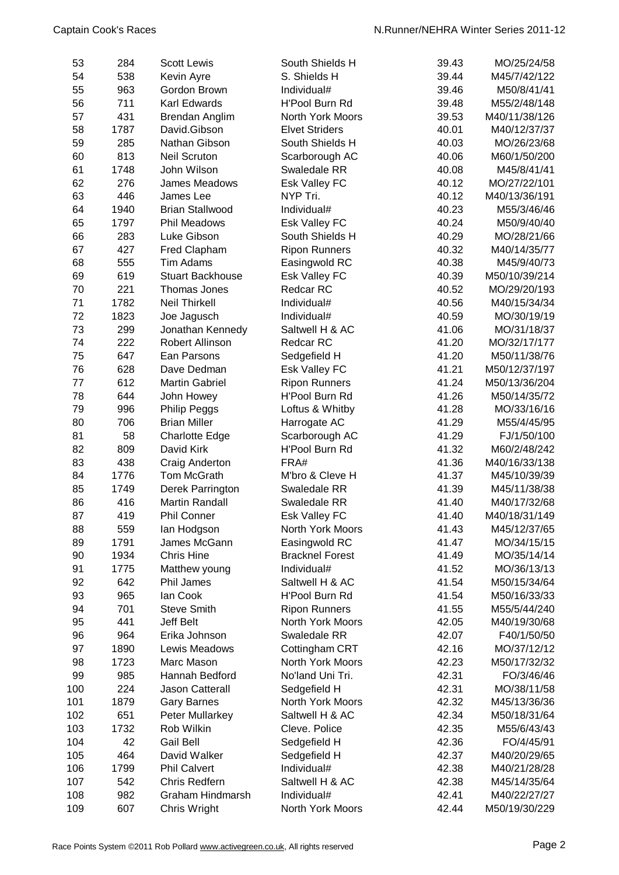| 53  | 284  | <b>Scott Lewis</b>      | South Shields H        | 39.43 | MO/25/24/58   |
|-----|------|-------------------------|------------------------|-------|---------------|
| 54  | 538  | Kevin Ayre              | S. Shields H           | 39.44 | M45/7/42/122  |
| 55  | 963  | Gordon Brown            | Individual#            | 39.46 | M50/8/41/41   |
| 56  | 711  | Karl Edwards            | H'Pool Burn Rd         | 39.48 | M55/2/48/148  |
| 57  | 431  | Brendan Anglim          | North York Moors       | 39.53 | M40/11/38/126 |
| 58  | 1787 | David.Gibson            | <b>Elvet Striders</b>  | 40.01 | M40/12/37/37  |
| 59  | 285  | Nathan Gibson           | South Shields H        | 40.03 | MO/26/23/68   |
| 60  | 813  | <b>Neil Scruton</b>     | Scarborough AC         | 40.06 | M60/1/50/200  |
| 61  | 1748 | John Wilson             | Swaledale RR           | 40.08 | M45/8/41/41   |
| 62  | 276  | James Meadows           | <b>Esk Valley FC</b>   | 40.12 | MO/27/22/101  |
| 63  | 446  | James Lee               | NYP Tri.               | 40.12 | M40/13/36/191 |
| 64  | 1940 | <b>Brian Stallwood</b>  | Individual#            | 40.23 | M55/3/46/46   |
| 65  | 1797 | <b>Phil Meadows</b>     | Esk Valley FC          | 40.24 | M50/9/40/40   |
| 66  | 283  | Luke Gibson             | South Shields H        | 40.29 | MO/28/21/66   |
| 67  | 427  | Fred Clapham            | <b>Ripon Runners</b>   | 40.32 | M40/14/35/77  |
| 68  | 555  | Tim Adams               | Easingwold RC          | 40.38 | M45/9/40/73   |
| 69  | 619  | <b>Stuart Backhouse</b> | Esk Valley FC          | 40.39 | M50/10/39/214 |
| 70  | 221  | Thomas Jones            | <b>Redcar RC</b>       | 40.52 | MO/29/20/193  |
| 71  | 1782 | <b>Neil Thirkell</b>    | Individual#            | 40.56 | M40/15/34/34  |
| 72  | 1823 | Joe Jagusch             | Individual#            | 40.59 | MO/30/19/19   |
| 73  | 299  | Jonathan Kennedy        | Saltwell H & AC        | 41.06 | MO/31/18/37   |
| 74  | 222  | <b>Robert Allinson</b>  | <b>Redcar RC</b>       | 41.20 | MO/32/17/177  |
| 75  | 647  | Ean Parsons             | Sedgefield H           | 41.20 | M50/11/38/76  |
| 76  | 628  | Dave Dedman             | Esk Valley FC          | 41.21 | M50/12/37/197 |
| 77  | 612  | <b>Martin Gabriel</b>   | <b>Ripon Runners</b>   | 41.24 | M50/13/36/204 |
| 78  | 644  | John Howey              | H'Pool Burn Rd         | 41.26 | M50/14/35/72  |
| 79  | 996  | <b>Philip Peggs</b>     | Loftus & Whitby        | 41.28 | MO/33/16/16   |
| 80  | 706  | <b>Brian Miller</b>     | Harrogate AC           | 41.29 | M55/4/45/95   |
| 81  | 58   | <b>Charlotte Edge</b>   | Scarborough AC         | 41.29 | FJ/1/50/100   |
| 82  | 809  | David Kirk              | H'Pool Burn Rd         | 41.32 | M60/2/48/242  |
| 83  | 438  | Craig Anderton          | FRA#                   | 41.36 | M40/16/33/138 |
| 84  | 1776 | Tom McGrath             | M'bro & Cleve H        | 41.37 | M45/10/39/39  |
| 85  | 1749 | Derek Parrington        | Swaledale RR           | 41.39 | M45/11/38/38  |
| 86  | 416  | <b>Martin Randall</b>   | Swaledale RR           | 41.40 | M40/17/32/68  |
| 87  | 419  | <b>Phil Conner</b>      | <b>Esk Valley FC</b>   | 41.40 | M40/18/31/149 |
| 88  | 559  | lan Hodgson             | North York Moors       | 41.43 | M45/12/37/65  |
| 89  | 1791 | James McGann            | Easingwold RC          | 41.47 | MO/34/15/15   |
| 90  | 1934 | <b>Chris Hine</b>       | <b>Bracknel Forest</b> | 41.49 | MO/35/14/14   |
| 91  | 1775 | Matthew young           | Individual#            | 41.52 | MO/36/13/13   |
| 92  | 642  | Phil James              | Saltwell H & AC        | 41.54 | M50/15/34/64  |
| 93  | 965  | lan Cook                | H'Pool Burn Rd         | 41.54 | M50/16/33/33  |
| 94  | 701  | <b>Steve Smith</b>      | <b>Ripon Runners</b>   | 41.55 | M55/5/44/240  |
| 95  | 441  | Jeff Belt               | North York Moors       | 42.05 | M40/19/30/68  |
| 96  | 964  | Erika Johnson           | Swaledale RR           | 42.07 | F40/1/50/50   |
| 97  | 1890 | Lewis Meadows           | Cottingham CRT         | 42.16 | MO/37/12/12   |
| 98  | 1723 | Marc Mason              | North York Moors       | 42.23 | M50/17/32/32  |
| 99  | 985  | Hannah Bedford          | No'land Uni Tri.       | 42.31 | FO/3/46/46    |
| 100 | 224  | Jason Catterall         | Sedgefield H           | 42.31 | MO/38/11/58   |
| 101 | 1879 | <b>Gary Barnes</b>      | North York Moors       | 42.32 | M45/13/36/36  |
| 102 | 651  | Peter Mullarkey         | Saltwell H & AC        | 42.34 | M50/18/31/64  |
| 103 | 1732 | Rob Wilkin              | Cleve. Police          | 42.35 | M55/6/43/43   |
| 104 | 42   | Gail Bell               | Sedgefield H           | 42.36 | FO/4/45/91    |
| 105 | 464  | David Walker            | Sedgefield H           | 42.37 | M40/20/29/65  |
| 106 | 1799 | <b>Phil Calvert</b>     | Individual#            | 42.38 | M40/21/28/28  |
| 107 | 542  | <b>Chris Redfern</b>    | Saltwell H & AC        | 42.38 | M45/14/35/64  |
| 108 | 982  | Graham Hindmarsh        | Individual#            | 42.41 | M40/22/27/27  |
| 109 | 607  | Chris Wright            | North York Moors       | 42.44 | M50/19/30/229 |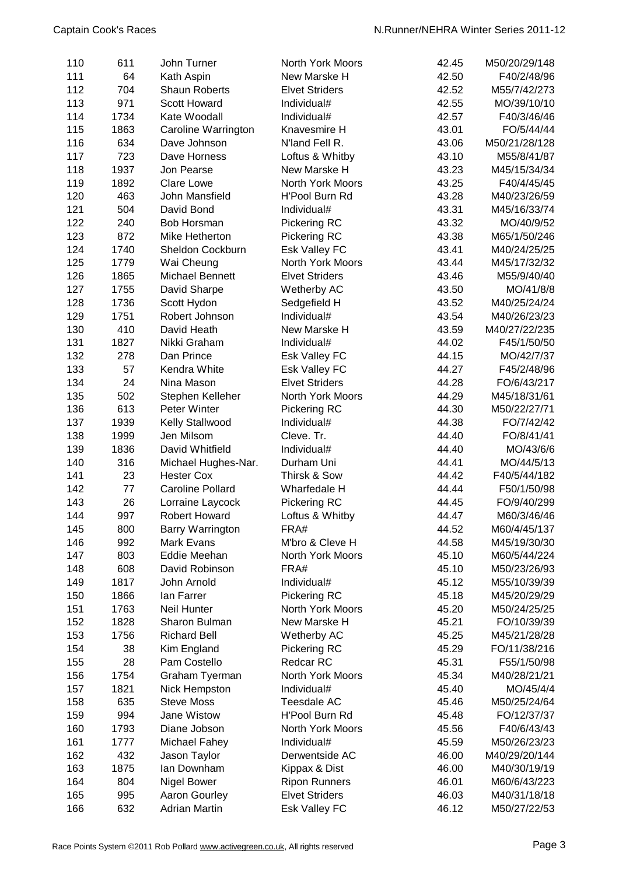| 110 | 611  | John Turner             | North York Moors      | 42.45 | M50/20/29/148                |
|-----|------|-------------------------|-----------------------|-------|------------------------------|
| 111 | 64   | Kath Aspin              | New Marske H          | 42.50 | F40/2/48/96                  |
| 112 | 704  | <b>Shaun Roberts</b>    | <b>Elvet Striders</b> | 42.52 | M55/7/42/273                 |
| 113 | 971  | <b>Scott Howard</b>     | Individual#           | 42.55 | MO/39/10/10                  |
| 114 | 1734 | Kate Woodall            | Individual#           | 42.57 | F40/3/46/46                  |
| 115 | 1863 | Caroline Warrington     | Knavesmire H          | 43.01 | FO/5/44/44                   |
| 116 | 634  | Dave Johnson            | N'land Fell R.        | 43.06 | M50/21/28/128                |
| 117 | 723  | Dave Horness            | Loftus & Whitby       | 43.10 | M55/8/41/87                  |
|     |      |                         |                       | 43.23 |                              |
| 118 | 1937 | Jon Pearse              | New Marske H          |       | M45/15/34/34                 |
| 119 | 1892 | <b>Clare Lowe</b>       | North York Moors      | 43.25 | F40/4/45/45                  |
| 120 | 463  | John Mansfield          | H'Pool Burn Rd        | 43.28 | M40/23/26/59                 |
| 121 | 504  | David Bond              | Individual#           | 43.31 | M45/16/33/74                 |
| 122 | 240  | Bob Horsman             | <b>Pickering RC</b>   | 43.32 | MO/40/9/52                   |
| 123 | 872  | Mike Hetherton          | Pickering RC          | 43.38 | M65/1/50/246                 |
| 124 | 1740 | Sheldon Cockburn        | Esk Valley FC         | 43.41 | M40/24/25/25                 |
| 125 | 1779 | Wai Cheung              | North York Moors      | 43.44 | M45/17/32/32                 |
| 126 | 1865 | Michael Bennett         | <b>Elvet Striders</b> | 43.46 | M55/9/40/40                  |
| 127 | 1755 | David Sharpe            | Wetherby AC           | 43.50 | MO/41/8/8                    |
| 128 | 1736 | Scott Hydon             | Sedgefield H          | 43.52 | M40/25/24/24                 |
| 129 | 1751 | Robert Johnson          | Individual#           | 43.54 | M40/26/23/23                 |
| 130 | 410  | David Heath             | New Marske H          | 43.59 | M40/27/22/235                |
| 131 | 1827 | Nikki Graham            | Individual#           | 44.02 | F45/1/50/50                  |
| 132 | 278  | Dan Prince              | Esk Valley FC         | 44.15 | MO/42/7/37                   |
| 133 | 57   | Kendra White            | <b>Esk Valley FC</b>  | 44.27 | F45/2/48/96                  |
| 134 | 24   | Nina Mason              | <b>Elvet Striders</b> | 44.28 | FO/6/43/217                  |
| 135 | 502  | Stephen Kelleher        | North York Moors      | 44.29 | M45/18/31/61                 |
| 136 | 613  | Peter Winter            | Pickering RC          | 44.30 | M50/22/27/71                 |
| 137 | 1939 | Kelly Stallwood         | Individual#           | 44.38 | FO/7/42/42                   |
| 138 | 1999 | Jen Milsom              | Cleve. Tr.            | 44.40 | FO/8/41/41                   |
| 139 | 1836 | David Whitfield         | Individual#           | 44.40 | MO/43/6/6                    |
| 140 | 316  | Michael Hughes-Nar.     | Durham Uni            | 44.41 | MO/44/5/13                   |
| 141 | 23   | <b>Hester Cox</b>       | Thirsk & Sow          | 44.42 | F40/5/44/182                 |
| 142 | 77   | <b>Caroline Pollard</b> | Wharfedale H          | 44.44 | F50/1/50/98                  |
| 143 | 26   | Lorraine Laycock        | Pickering RC          | 44.45 | FO/9/40/299                  |
| 144 | 997  | <b>Robert Howard</b>    | Loftus & Whitby       | 44.47 | M60/3/46/46                  |
| 145 | 800  | Barry Warrington        | FRA#                  | 44.52 | M60/4/45/137                 |
| 146 | 992  | <b>Mark Evans</b>       | M'bro & Cleve H       | 44.58 | M45/19/30/30                 |
| 147 | 803  | Eddie Meehan            | North York Moors      | 45.10 | M60/5/44/224                 |
| 148 | 608  | David Robinson          | FRA#                  | 45.10 |                              |
|     | 1817 |                         | Individual#           | 45.12 | M50/23/26/93<br>M55/10/39/39 |
| 149 |      | John Arnold             |                       |       |                              |
| 150 | 1866 | lan Farrer              | Pickering RC          | 45.18 | M45/20/29/29                 |
| 151 | 1763 | Neil Hunter             | North York Moors      | 45.20 | M50/24/25/25                 |
| 152 | 1828 | Sharon Bulman           | New Marske H          | 45.21 | FO/10/39/39                  |
| 153 | 1756 | <b>Richard Bell</b>     | Wetherby AC           | 45.25 | M45/21/28/28                 |
| 154 | 38   | Kim England             | Pickering RC          | 45.29 | FO/11/38/216                 |
| 155 | 28   | Pam Costello            | Redcar RC             | 45.31 | F55/1/50/98                  |
| 156 | 1754 | Graham Tyerman          | North York Moors      | 45.34 | M40/28/21/21                 |
| 157 | 1821 | Nick Hempston           | Individual#           | 45.40 | MO/45/4/4                    |
| 158 | 635  | <b>Steve Moss</b>       | <b>Teesdale AC</b>    | 45.46 | M50/25/24/64                 |
| 159 | 994  | Jane Wistow             | H'Pool Burn Rd        | 45.48 | FO/12/37/37                  |
| 160 | 1793 | Diane Jobson            | North York Moors      | 45.56 | F40/6/43/43                  |
| 161 | 1777 | Michael Fahey           | Individual#           | 45.59 | M50/26/23/23                 |
| 162 | 432  | Jason Taylor            | Derwentside AC        | 46.00 | M40/29/20/144                |
| 163 | 1875 | lan Downham             | Kippax & Dist         | 46.00 | M40/30/19/19                 |
| 164 | 804  | <b>Nigel Bower</b>      | <b>Ripon Runners</b>  | 46.01 | M60/6/43/223                 |
| 165 | 995  | Aaron Gourley           | <b>Elvet Striders</b> | 46.03 | M40/31/18/18                 |
| 166 | 632  | <b>Adrian Martin</b>    | Esk Valley FC         | 46.12 | M50/27/22/53                 |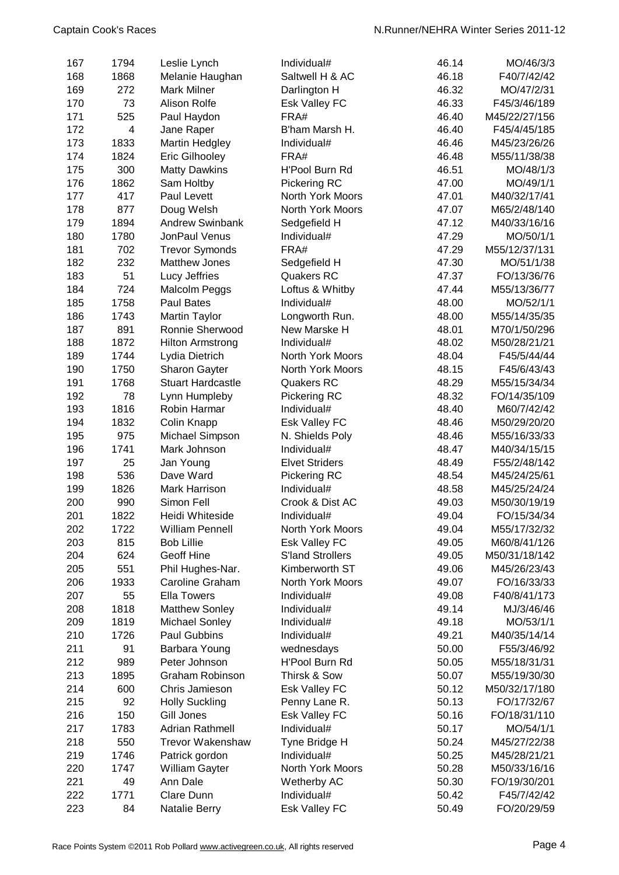| 167 | 1794           | Leslie Lynch             | Individual#             | 46.14 | MO/46/3/3     |
|-----|----------------|--------------------------|-------------------------|-------|---------------|
| 168 | 1868           | Melanie Haughan          | Saltwell H & AC         | 46.18 | F40/7/42/42   |
| 169 | 272            | <b>Mark Milner</b>       | Darlington H            | 46.32 | MO/47/2/31    |
| 170 | 73             | <b>Alison Rolfe</b>      | <b>Esk Valley FC</b>    | 46.33 | F45/3/46/189  |
| 171 | 525            | Paul Haydon              | FRA#                    | 46.40 | M45/22/27/156 |
| 172 | $\overline{4}$ | Jane Raper               | B'ham Marsh H.          | 46.40 | F45/4/45/185  |
| 173 | 1833           | Martin Hedgley           | Individual#             | 46.46 | M45/23/26/26  |
| 174 | 1824           | Eric Gilhooley           | FRA#                    | 46.48 | M55/11/38/38  |
| 175 | 300            | <b>Matty Dawkins</b>     | H'Pool Burn Rd          | 46.51 | MO/48/1/3     |
| 176 | 1862           | Sam Holtby               | Pickering RC            | 47.00 | MO/49/1/1     |
| 177 | 417            | Paul Levett              | North York Moors        | 47.01 | M40/32/17/41  |
| 178 | 877            | Doug Welsh               | North York Moors        | 47.07 | M65/2/48/140  |
| 179 | 1894           | <b>Andrew Swinbank</b>   | Sedgefield H            | 47.12 | M40/33/16/16  |
| 180 | 1780           | JonPaul Venus            | Individual#             | 47.29 | MO/50/1/1     |
| 181 | 702            | <b>Trevor Symonds</b>    | FRA#                    | 47.29 | M55/12/37/131 |
| 182 | 232            | <b>Matthew Jones</b>     | Sedgefield H            | 47.30 | MO/51/1/38    |
| 183 | 51             | Lucy Jeffries            | <b>Quakers RC</b>       | 47.37 | FO/13/36/76   |
| 184 | 724            | Malcolm Peggs            | Loftus & Whitby         | 47.44 | M55/13/36/77  |
| 185 | 1758           | <b>Paul Bates</b>        | Individual#             | 48.00 | MO/52/1/1     |
| 186 | 1743           | Martin Taylor            | Longworth Run.          | 48.00 | M55/14/35/35  |
| 187 | 891            | Ronnie Sherwood          | New Marske H            | 48.01 | M70/1/50/296  |
| 188 | 1872           | <b>Hilton Armstrong</b>  | Individual#             | 48.02 | M50/28/21/21  |
| 189 | 1744           | Lydia Dietrich           | North York Moors        | 48.04 | F45/5/44/44   |
| 190 | 1750           | <b>Sharon Gayter</b>     | North York Moors        | 48.15 | F45/6/43/43   |
| 191 | 1768           | <b>Stuart Hardcastle</b> | <b>Quakers RC</b>       | 48.29 | M55/15/34/34  |
| 192 | 78             | Lynn Humpleby            | Pickering RC            | 48.32 | FO/14/35/109  |
| 193 | 1816           | Robin Harmar             | Individual#             | 48.40 | M60/7/42/42   |
| 194 | 1832           | Colin Knapp              | <b>Esk Valley FC</b>    | 48.46 | M50/29/20/20  |
| 195 | 975            | Michael Simpson          | N. Shields Poly         | 48.46 | M55/16/33/33  |
| 196 | 1741           | Mark Johnson             | Individual#             | 48.47 | M40/34/15/15  |
| 197 | 25             | Jan Young                | <b>Elvet Striders</b>   | 48.49 | F55/2/48/142  |
| 198 | 536            | Dave Ward                | Pickering RC            | 48.54 | M45/24/25/61  |
| 199 | 1826           | Mark Harrison            | Individual#             | 48.58 | M45/25/24/24  |
| 200 | 990            | Simon Fell               | Crook & Dist AC         | 49.03 | M50/30/19/19  |
| 201 | 1822           | Heidi Whiteside          | Individual#             | 49.04 | FO/15/34/34   |
| 202 | 1722           | <b>William Pennell</b>   | North York Moors        | 49.04 | M55/17/32/32  |
| 203 | 815            | <b>Bob Lillie</b>        | Esk Valley FC           | 49.05 | M60/8/41/126  |
| 204 | 624            | <b>Geoff Hine</b>        | <b>S'land Strollers</b> | 49.05 | M50/31/18/142 |
| 205 | 551            | Phil Hughes-Nar.         | Kimberworth ST          | 49.06 | M45/26/23/43  |
| 206 | 1933           | Caroline Graham          | North York Moors        | 49.07 | FO/16/33/33   |
| 207 | 55             | <b>Ella Towers</b>       | Individual#             | 49.08 | F40/8/41/173  |
| 208 | 1818           | <b>Matthew Sonley</b>    | Individual#             | 49.14 | MJ/3/46/46    |
| 209 | 1819           | Michael Sonley           | Individual#             | 49.18 | MO/53/1/1     |
| 210 | 1726           | Paul Gubbins             | Individual#             | 49.21 | M40/35/14/14  |
| 211 | 91             | Barbara Young            | wednesdays              | 50.00 | F55/3/46/92   |
| 212 | 989            | Peter Johnson            | H'Pool Burn Rd          | 50.05 | M55/18/31/31  |
| 213 | 1895           | Graham Robinson          | Thirsk & Sow            | 50.07 | M55/19/30/30  |
| 214 | 600            | Chris Jamieson           | Esk Valley FC           | 50.12 | M50/32/17/180 |
| 215 | 92             | <b>Holly Suckling</b>    | Penny Lane R.           | 50.13 | FO/17/32/67   |
| 216 | 150            | Gill Jones               | Esk Valley FC           | 50.16 | FO/18/31/110  |
| 217 | 1783           | <b>Adrian Rathmell</b>   | Individual#             | 50.17 | MO/54/1/1     |
| 218 | 550            | <b>Trevor Wakenshaw</b>  | Tyne Bridge H           | 50.24 | M45/27/22/38  |
| 219 | 1746           | Patrick gordon           | Individual#             | 50.25 | M45/28/21/21  |
| 220 | 1747           | William Gayter           | North York Moors        | 50.28 | M50/33/16/16  |
| 221 | 49             | Ann Dale                 | Wetherby AC             | 50.30 | FO/19/30/201  |
| 222 | 1771           | Clare Dunn               | Individual#             | 50.42 | F45/7/42/42   |
| 223 | 84             | Natalie Berry            | Esk Valley FC           | 50.49 | FO/20/29/59   |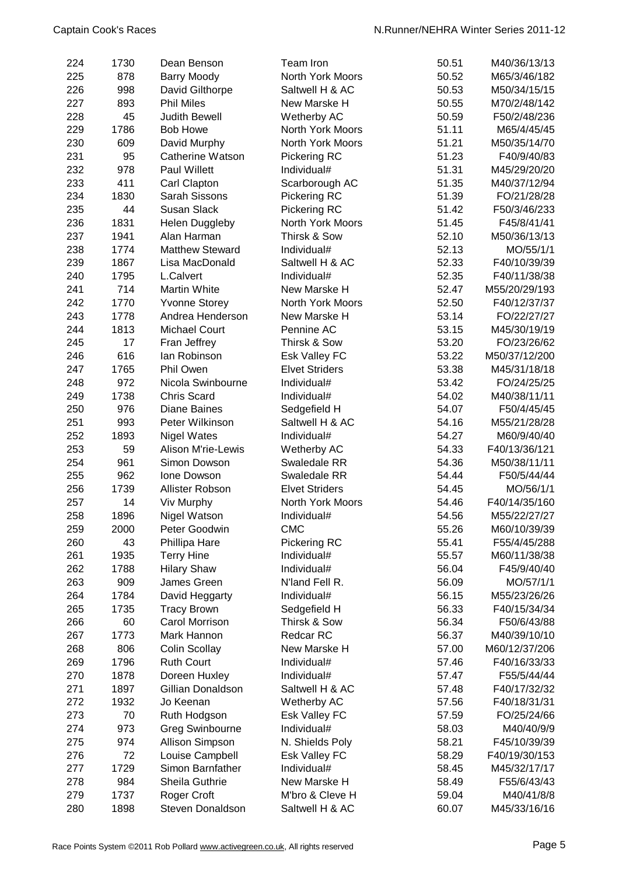| 224 | 1730 | Dean Benson               | Team Iron               | 50.51 | M40/36/13/13  |
|-----|------|---------------------------|-------------------------|-------|---------------|
| 225 | 878  | <b>Barry Moody</b>        | <b>North York Moors</b> | 50.52 | M65/3/46/182  |
| 226 | 998  | David Gilthorpe           | Saltwell H & AC         | 50.53 | M50/34/15/15  |
| 227 | 893  | <b>Phil Miles</b>         | New Marske H            | 50.55 | M70/2/48/142  |
| 228 | 45   | Judith Bewell             | Wetherby AC             | 50.59 | F50/2/48/236  |
| 229 | 1786 | <b>Bob Howe</b>           | North York Moors        | 51.11 | M65/4/45/45   |
| 230 | 609  | David Murphy              | North York Moors        | 51.21 | M50/35/14/70  |
| 231 | 95   | <b>Catherine Watson</b>   | Pickering RC            | 51.23 | F40/9/40/83   |
| 232 | 978  | Paul Willett              | Individual#             | 51.31 | M45/29/20/20  |
| 233 | 411  | Carl Clapton              | Scarborough AC          | 51.35 | M40/37/12/94  |
| 234 | 1830 | Sarah Sissons             | Pickering RC            | 51.39 | FO/21/28/28   |
| 235 | 44   | <b>Susan Slack</b>        | <b>Pickering RC</b>     | 51.42 | F50/3/46/233  |
| 236 | 1831 | <b>Helen Duggleby</b>     | North York Moors        | 51.45 | F45/8/41/41   |
| 237 | 1941 | Alan Harman               | Thirsk & Sow            | 52.10 | M50/36/13/13  |
| 238 | 1774 | <b>Matthew Steward</b>    | Individual#             | 52.13 | MO/55/1/1     |
| 239 | 1867 | Lisa MacDonald            | Saltwell H & AC         | 52.33 | F40/10/39/39  |
| 240 | 1795 | L.Calvert                 | Individual#             | 52.35 | F40/11/38/38  |
| 241 | 714  | Martin White              | New Marske H            | 52.47 | M55/20/29/193 |
| 242 | 1770 | <b>Yvonne Storey</b>      | <b>North York Moors</b> | 52.50 | F40/12/37/37  |
| 243 | 1778 | Andrea Henderson          | New Marske H            | 53.14 | FO/22/27/27   |
| 244 | 1813 | <b>Michael Court</b>      | Pennine AC              | 53.15 | M45/30/19/19  |
| 245 | 17   | Fran Jeffrey              | Thirsk & Sow            | 53.20 | FO/23/26/62   |
| 246 | 616  | lan Robinson              | Esk Valley FC           | 53.22 | M50/37/12/200 |
| 247 | 1765 | Phil Owen                 | <b>Elvet Striders</b>   | 53.38 | M45/31/18/18  |
| 248 | 972  | Nicola Swinbourne         | Individual#             | 53.42 | FO/24/25/25   |
| 249 | 1738 | <b>Chris Scard</b>        | Individual#             | 54.02 | M40/38/11/11  |
| 250 | 976  | <b>Diane Baines</b>       | Sedgefield H            | 54.07 | F50/4/45/45   |
| 251 | 993  | Peter Wilkinson           | Saltwell H & AC         | 54.16 | M55/21/28/28  |
| 252 | 1893 | <b>Nigel Wates</b>        | Individual#             | 54.27 | M60/9/40/40   |
| 253 | 59   | <b>Alison M'rie-Lewis</b> | Wetherby AC             | 54.33 | F40/13/36/121 |
| 254 | 961  | Simon Dowson              | Swaledale RR            | 54.36 | M50/38/11/11  |
| 255 | 962  | Ione Dowson               | Swaledale RR            | 54.44 | F50/5/44/44   |
| 256 | 1739 | Allister Robson           | <b>Elvet Striders</b>   | 54.45 | MO/56/1/1     |
| 257 | 14   | Viv Murphy                | North York Moors        | 54.46 | F40/14/35/160 |
| 258 | 1896 | Nigel Watson              | Individual#             | 54.56 | M55/22/27/27  |
| 259 | 2000 | Peter Goodwin             | <b>CMC</b>              | 55.26 | M60/10/39/39  |
| 260 | 43   | Phillipa Hare             | <b>Pickering RC</b>     | 55.41 | F55/4/45/288  |
| 261 | 1935 | <b>Terry Hine</b>         | Individual#             | 55.57 | M60/11/38/38  |
| 262 | 1788 | <b>Hilary Shaw</b>        | Individual#             | 56.04 | F45/9/40/40   |
| 263 | 909  | James Green               | N'land Fell R.          | 56.09 | MO/57/1/1     |
| 264 | 1784 | David Heggarty            | Individual#             | 56.15 | M55/23/26/26  |
| 265 | 1735 | <b>Tracy Brown</b>        | Sedgefield H            | 56.33 | F40/15/34/34  |
| 266 | 60   | Carol Morrison            | Thirsk & Sow            | 56.34 | F50/6/43/88   |
| 267 | 1773 | Mark Hannon               | Redcar RC               | 56.37 | M40/39/10/10  |
| 268 | 806  | <b>Colin Scollay</b>      | New Marske H            | 57.00 | M60/12/37/206 |
| 269 | 1796 | <b>Ruth Court</b>         | Individual#             | 57.46 | F40/16/33/33  |
| 270 | 1878 | Doreen Huxley             | Individual#             | 57.47 | F55/5/44/44   |
| 271 | 1897 | Gillian Donaldson         | Saltwell H & AC         | 57.48 | F40/17/32/32  |
| 272 | 1932 | Jo Keenan                 | Wetherby AC             | 57.56 | F40/18/31/31  |
| 273 | 70   | Ruth Hodgson              | Esk Valley FC           | 57.59 | FO/25/24/66   |
| 274 | 973  | <b>Greg Swinbourne</b>    | Individual#             | 58.03 | M40/40/9/9    |
| 275 | 974  | Allison Simpson           | N. Shields Poly         | 58.21 | F45/10/39/39  |
| 276 | 72   | Louise Campbell           | Esk Valley FC           | 58.29 | F40/19/30/153 |
| 277 | 1729 | Simon Barnfather          | Individual#             | 58.45 | M45/32/17/17  |
| 278 | 984  | Sheila Guthrie            | New Marske H            | 58.49 | F55/6/43/43   |
| 279 | 1737 | Roger Croft               | M'bro & Cleve H         | 59.04 | M40/41/8/8    |
| 280 | 1898 | Steven Donaldson          | Saltwell H & AC         | 60.07 | M45/33/16/16  |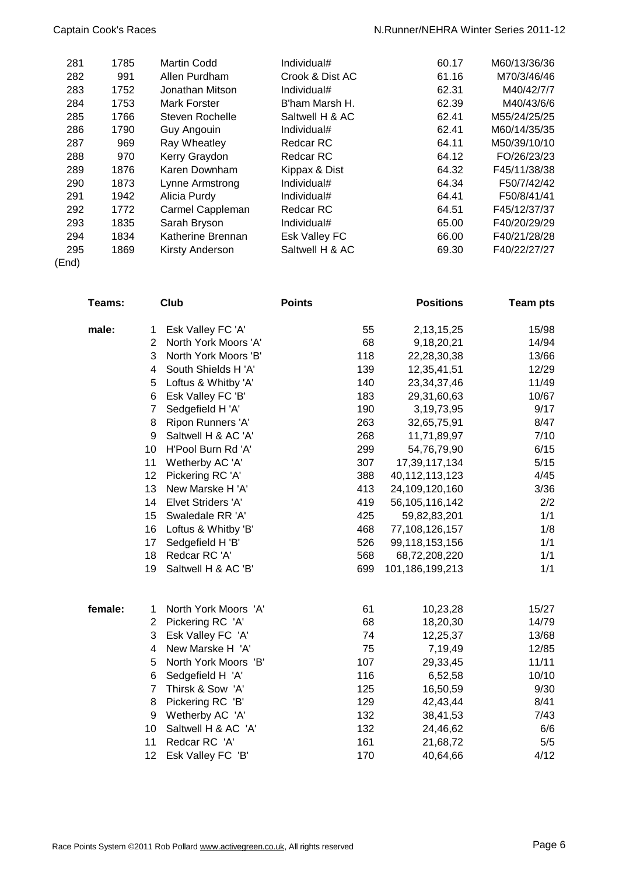| 281   | 1785 | Martin Codd            | Individual#     | 60.17 | M60/13/36/36 |
|-------|------|------------------------|-----------------|-------|--------------|
| 282   | 991  | Allen Purdham          | Crook & Dist AC | 61.16 | M70/3/46/46  |
| 283   | 1752 | Jonathan Mitson        | Individual#     | 62.31 | M40/42/7/7   |
| 284   | 1753 | Mark Forster           | B'ham Marsh H.  | 62.39 | M40/43/6/6   |
| 285   | 1766 | <b>Steven Rochelle</b> | Saltwell H & AC | 62.41 | M55/24/25/25 |
| 286   | 1790 | Guy Angouin            | Individual#     | 62.41 | M60/14/35/35 |
| 287   | 969  | Ray Wheatley           | Redcar RC       | 64.11 | M50/39/10/10 |
| 288   | 970  | Kerry Graydon          | Redcar RC       | 64.12 | FO/26/23/23  |
| 289   | 1876 | Karen Downham          | Kippax & Dist   | 64.32 | F45/11/38/38 |
| 290   | 1873 | Lynne Armstrong        | Individual#     | 64.34 | F50/7/42/42  |
| 291   | 1942 | Alicia Purdy           | Individual#     | 64.41 | F50/8/41/41  |
| 292   | 1772 | Carmel Cappleman       | Redcar RC       | 64.51 | F45/12/37/37 |
| 293   | 1835 | Sarah Bryson           | Individual#     | 65.00 | F40/20/29/29 |
| 294   | 1834 | Katherine Brennan      | Esk Valley FC   | 66.00 | F40/21/28/28 |
| 295   | 1869 | Kirsty Anderson        | Saltwell H & AC | 69.30 | F40/22/27/27 |
| (End) |      |                        |                 |       |              |

**Teams: Club Points Positions Team pts male:** 1 Esk Valley FC 'A' 55 2,13,15,25 15/98 2 North York Moors 'A' 68 9,18,20,21 14/94 3 North York Moors 'B' 118 22,28,30,38 13/66 4 South Shields H 'A' 139 12,35,41,51 12/29 5 Loftus & Whitby 'A' 140 23,34,37,46 11/49 6 Esk Valley FC 'B' 183 29,31,60,63 10/67 7 Sedgefield H 'A' 190 3,19,73,95 9/17 8 Ripon Runners 'A' 263 32,65,75,91 8/47 9 Saltwell H & AC 'A' 268 11,71,89,97 7/10 10 H'Pool Burn Rd 'A' 299 54,76,79,90 6/15 11 Wetherby AC 'A' 307 17,39,117,134 5/15 12 Pickering RC 'A' 388 40,112,113,123 4/45 13 New Marske H 'A' 413 24,109,120,160 3/36 14 Elvet Striders 'A' 419 56,105,116,142 2/2 15 Swaledale RR 'A' 425 59,82,83,201 1/1 16 Loftus & Whitby 'B' 468 77,108,126,157 1/8 17 Sedgefield H 'B' 1/1 526 99,118,153,156 1/1 18 Redcar RC 'A' 568 68,72,208,220 1/1 19 Saltwell H & AC 'B' 699 101,186,199,213 1/1 **female:** 1 North York Moors 'A' 61 10,23,28 15/27 2 Pickering RC 'A' 68 18,20,30 14/79 3 Esk Valley FC 'A' 74 12,25,37 13/68 4 New Marske H 'A' 75 7,19,49 12/85 5 North York Moors 'B' 107 29,33,45 11/11 6 Sedgefield H 'A' 116 6,52,58 10/10 7 Thirsk & Sow 'A' 125 16,50,59 9/30 8 Pickering RC 'B' 129 42,43,44 8/41 9 Wetherby AC 'A' 132 38,41,53 7/43 10 Saltwell H & AC 'A' 132 24,46,62 6/6 11 Redcar RC 'A' 161 21,68,72 5/5 12 Esk Valley FC 'B' 170 40,64,66 4/12